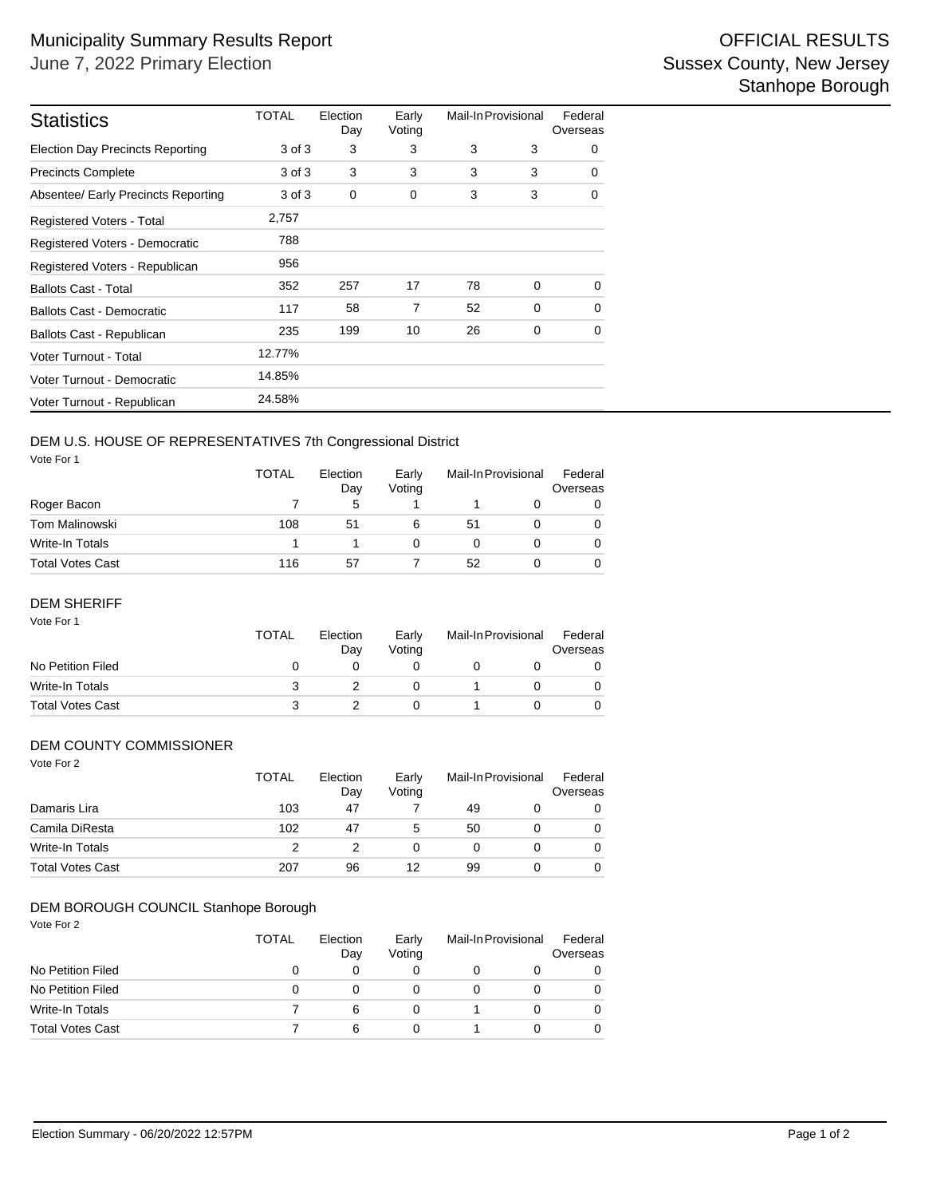| <b>Statistics</b>                       | TOTAL  | Election<br>Day | Early<br>Voting | Mail-In Provisional |   | Federal<br>Overseas |
|-----------------------------------------|--------|-----------------|-----------------|---------------------|---|---------------------|
| <b>Election Day Precincts Reporting</b> | 3 of 3 | 3               | 3               | 3                   | 3 | $\Omega$            |
| <b>Precincts Complete</b>               | 3 of 3 | 3               | 3               | 3                   | 3 | $\Omega$            |
| Absentee/ Early Precincts Reporting     | 3 of 3 | 0               | 0               | 3                   | 3 | 0                   |
| Registered Voters - Total               | 2,757  |                 |                 |                     |   |                     |
| Registered Voters - Democratic          | 788    |                 |                 |                     |   |                     |
| Registered Voters - Republican          | 956    |                 |                 |                     |   |                     |
| <b>Ballots Cast - Total</b>             | 352    | 257             | 17              | 78                  | 0 | $\Omega$            |
| Ballots Cast - Democratic               | 117    | 58              | 7               | 52                  | 0 | 0                   |
| Ballots Cast - Republican               | 235    | 199             | 10              | 26                  | 0 | $\Omega$            |
| Voter Turnout - Total                   | 12.77% |                 |                 |                     |   |                     |
| Voter Turnout - Democratic              | 14.85% |                 |                 |                     |   |                     |
| Voter Turnout - Republican              | 24.58% |                 |                 |                     |   |                     |

# DEM U.S. HOUSE OF REPRESENTATIVES 7th Congressional District

Vote For 1

|                  | <b>TOTAL</b> | Election<br>Day<br>5 | Early<br>Votina | Mail-In Provisional |  | Federal<br>Overseas |  |
|------------------|--------------|----------------------|-----------------|---------------------|--|---------------------|--|
| Roger Bacon      |              |                      |                 |                     |  | 0                   |  |
| Tom Malinowski   | 108          | 51                   | 6               | 51                  |  | 0                   |  |
| Write-In Totals  |              |                      |                 | 0                   |  | $\Omega$            |  |
| Total Votes Cast | 116          | 57                   |                 | 52                  |  | $\Omega$            |  |

## DEM SHERIFF

| Vote For 1              | TOTAL | Election<br>Day | Early<br>Voting | Mail-In Provisional |  | Federal<br>Overseas |
|-------------------------|-------|-----------------|-----------------|---------------------|--|---------------------|
| No Petition Filed       | 0     |                 |                 |                     |  |                     |
| Write-In Totals         | 3     |                 |                 |                     |  |                     |
| <b>Total Votes Cast</b> | 3     |                 |                 |                     |  |                     |

## DEM COUNTY COMMISSIONER

| Vote For 2              | <b>TOTAL</b> | Election<br>Day | Early<br>Voting | Mail-In Provisional |  | Federal<br>Overseas |  |
|-------------------------|--------------|-----------------|-----------------|---------------------|--|---------------------|--|
| Damaris Lira            | 103          | 47              |                 | 49                  |  | 0                   |  |
| Camila DiResta          | 102          | 47              | 5               | 50                  |  | 0                   |  |
| Write-In Totals         | 2            |                 | 0               | 0                   |  | 0                   |  |
| <b>Total Votes Cast</b> | 207          | 96              | 12              | 99                  |  | 0                   |  |

### Vote For 2 DEM BOROUGH COUNCIL Stanhope Borough

| , , , , , , , <u>,</u>  | <b>TOTAL</b> | Election<br>Day | Early<br>Voting | Mail-In Provisional | Federal<br>Overseas |
|-------------------------|--------------|-----------------|-----------------|---------------------|---------------------|
| No Petition Filed       | 0            |                 |                 |                     |                     |
| No Petition Filed       | 0            |                 |                 |                     |                     |
| Write-In Totals         |              | 6               | 0               |                     |                     |
| <b>Total Votes Cast</b> |              | 6               | 0               |                     |                     |